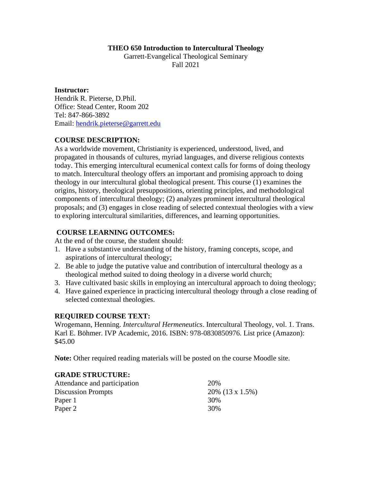#### **THEO 650 Introduction to Intercultural Theology**

Garrett-Evangelical Theological Seminary Fall 2021

**Instructor:**  Hendrik R. Pieterse, D.Phil. Office: Stead Center, Room 202 Tel: 847-866-3892 Email: hendrik.pieterse@garrett.edu

## **COURSE DESCRIPTION:**

As a worldwide movement, Christianity is experienced, understood, lived, and propagated in thousands of cultures, myriad languages, and diverse religious contexts today. This emerging intercultural ecumenical context calls for forms of doing theology to match. Intercultural theology offers an important and promising approach to doing theology in our intercultural global theological present. This course (1) examines the origins, history, theological presuppositions, orienting principles, and methodological components of intercultural theology; (2) analyzes prominent intercultural theological proposals; and (3) engages in close reading of selected contextual theologies with a view to exploring intercultural similarities, differences, and learning opportunities.

#### **COURSE LEARNING OUTCOMES:**

At the end of the course, the student should:

- 1. Have a substantive understanding of the history, framing concepts, scope, and aspirations of intercultural theology;
- 2. Be able to judge the putative value and contribution of intercultural theology as a theological method suited to doing theology in a diverse world church;
- 3. Have cultivated basic skills in employing an intercultural approach to doing theology;
- 4. Have gained experience in practicing intercultural theology through a close reading of selected contextual theologies.

#### **REQUIRED COURSE TEXT:**

Wrogemann, Henning. *Intercultural Hermeneutics*. Intercultural Theology, vol. 1. Trans. Karl E. Böhmer. IVP Academic, 2016. ISBN: 978-0830850976. List price (Amazon): \$45.00

**Note:** Other required reading materials will be posted on the course Moodle site.

#### **GRADE STRUCTURE:**

| Attendance and participation | 20\%               |
|------------------------------|--------------------|
| <b>Discussion Prompts</b>    | $20\%$ (13 x 1.5%) |
| Paper 1                      | 30%                |
| Paper 2                      | 30%                |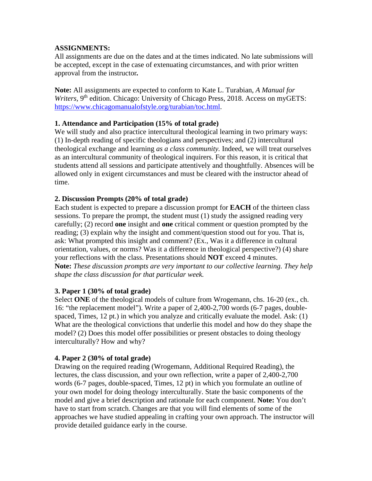### **ASSIGNMENTS:**

All assignments are due on the dates and at the times indicated. No late submissions will be accepted, except in the case of extenuating circumstances, and with prior written approval from the instructor*.*

**Note:** All assignments are expected to conform to Kate L. Turabian, *A Manual for*  Writers, 9<sup>th</sup> edition. Chicago: University of Chicago Press, 2018. Access on myGETS: https://www.chicagomanualofstyle.org/turabian/toc.html.

## **1. Attendance and Participation (15% of total grade)**

We will study and also practice intercultural theological learning in two primary ways: (1) In-depth reading of specific theologians and perspectives; and (2) intercultural theological exchange and learning *as a class community.* Indeed, we will treat ourselves as an intercultural community of theological inquirers. For this reason, it is critical that students attend all sessions and participate attentively and thoughtfully. Absences will be allowed only in exigent circumstances and must be cleared with the instructor ahead of time.

#### **2. Discussion Prompts (20% of total grade)**

Each student is expected to prepare a discussion prompt for **EACH** of the thirteen class sessions. To prepare the prompt, the student must (1) study the assigned reading very carefully; (2) record **one** insight and **one** critical comment or question prompted by the reading; (3) explain why the insight and comment/question stood out for you. That is, ask: What prompted this insight and comment? (Ex., Was it a difference in cultural orientation, values, or norms? Was it a difference in theological perspective?) (4) share your reflections with the class. Presentations should **NOT** exceed 4 minutes. **Note:** *These discussion prompts are very important to our collective learning. They help shape the class discussion for that particular week.*

#### **3. Paper 1 (30% of total grade)**

Select **ONE** of the theological models of culture from Wrogemann, chs. 16-20 (ex., ch. 16: "the replacement model"). Write a paper of 2,400-2,700 words (6-7 pages, doublespaced, Times, 12 pt.) in which you analyze and critically evaluate the model. Ask: (1) What are the theological convictions that underlie this model and how do they shape the model? (2) Does this model offer possibilities or present obstacles to doing theology interculturally? How and why?

#### **4. Paper 2 (30% of total grade)**

Drawing on the required reading (Wrogemann, Additional Required Reading), the lectures, the class discussion, and your own reflection, write a paper of 2,400-2,700 words (6-7 pages, double-spaced, Times, 12 pt) in which you formulate an outline of your own model for doing theology interculturally. State the basic components of the model and give a brief description and rationale for each component. **Note:** You don't have to start from scratch. Changes are that you will find elements of some of the approaches we have studied appealing in crafting your own approach. The instructor will provide detailed guidance early in the course.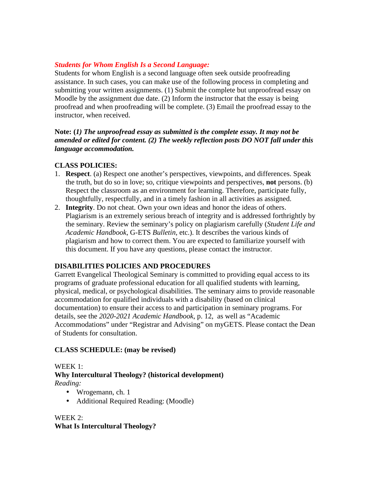## *Students for Whom English Is a Second Language:*

Students for whom English is a second language often seek outside proofreading assistance. In such cases, you can make use of the following process in completing and submitting your written assignments. (1) Submit the complete but unproofread essay on Moodle by the assignment due date. (2) Inform the instructor that the essay is being proofread and when proofreading will be complete. (3) Email the proofread essay to the instructor, when received.

## **Note: (***1) The unproofread essay as submitted is the complete essay. It may not be amended or edited for content. (2) The weekly reflection posts DO NOT fall under this language accommodation.*

## **CLASS POLICIES:**

- 1. **Respect**. (a) Respect one another's perspectives, viewpoints, and differences. Speak the truth, but do so in love; so, critique viewpoints and perspectives, **not** persons. (b) Respect the classroom as an environment for learning. Therefore, participate fully, thoughtfully, respectfully, and in a timely fashion in all activities as assigned.
- 2. **Integrity**. Do not cheat. Own your own ideas and honor the ideas of others. Plagiarism is an extremely serious breach of integrity and is addressed forthrightly by the seminary. Review the seminary's policy on plagiarism carefully (*Student Life and Academic Handbook*, G-ETS *Bulletin*, etc.). It describes the various kinds of plagiarism and how to correct them. You are expected to familiarize yourself with this document. If you have any questions, please contact the instructor.

## **DISABILITIES POLICIES AND PROCEDURES**

Garrett Evangelical Theological Seminary is committed to providing equal access to its programs of graduate professional education for all qualified students with learning, physical, medical, or psychological disabilities. The seminary aims to provide reasonable accommodation for qualified individuals with a disability (based on clinical documentation) to ensure their access to and participation in seminary programs. For details, see the *2020-2021 Academic Handbook*, p. 12, as well as "Academic Accommodations" under "Registrar and Advising" on myGETS. Please contact the Dean of Students for consultation.

## **CLASS SCHEDULE: (may be revised)**

#### WEEK 1: **Why Intercultural Theology? (historical development)**  *Reading:*

- Wrogemann, ch. 1
- Additional Required Reading: (Moodle)

## WEEK 2: **What Is Intercultural Theology?**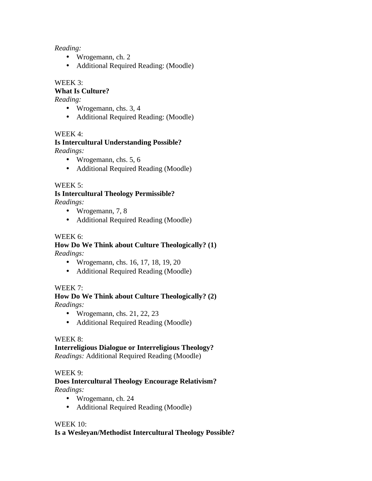## *Reading:*

- Wrogemann, ch. 2
- Additional Required Reading: (Moodle)

## WEEK 3:

## **What Is Culture?**

*Reading:* 

- Wrogemann, chs. 3, 4
- Additional Required Reading: (Moodle)

## WEEK 4:

#### **Is Intercultural Understanding Possible?**  *Readings:*

- Wrogemann, chs. 5, 6
- Additional Required Reading (Moodle)

## WEEK 5:

# **Is Intercultural Theology Permissible?**

*Readings:* 

- Wrogemann, 7, 8
- Additional Required Reading (Moodle)

## WEEK 6:

# **How Do We Think about Culture Theologically? (1)**

*Readings:* 

- Wrogemann, chs. 16, 17, 18, 19, 20
- Additional Required Reading (Moodle)

## WEEK 7:

#### **How Do We Think about Culture Theologically? (2)**  *Readings:*

• Wrogemann, chs.  $21, 22, 23$ 

• Additional Required Reading (Moodle)

## WEEK 8:

## **Interreligious Dialogue or Interreligious Theology?**

*Readings:* Additional Required Reading (Moodle)

## WEEK 9:

## **Does Intercultural Theology Encourage Relativism?** *Readings:*

- Wrogemann, ch. 24
- Additional Required Reading (Moodle)

## WEEK 10:

## **Is a Wesleyan/Methodist Intercultural Theology Possible?**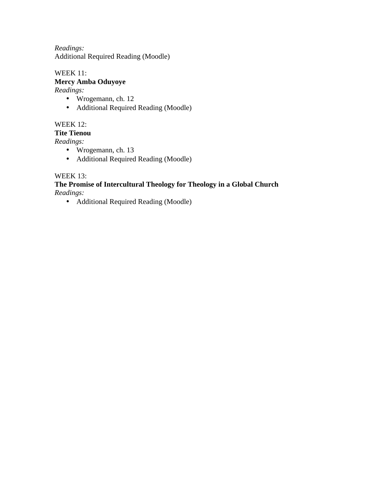*Readings:*  Additional Required Reading (Moodle)

#### WEEK 11: **Mercy Amba Oduyoye**

*Readings:* 

- Wrogemann, ch. 12
- Additional Required Reading (Moodle)

## WEEK 12:

#### **Tite Tienou**

*Readings:* 

- Wrogemann, ch. 13
- Additional Required Reading (Moodle)

## WEEK 13:

#### **The Promise of Intercultural Theology for Theology in a Global Church**  *Readings:*

• Additional Required Reading (Moodle)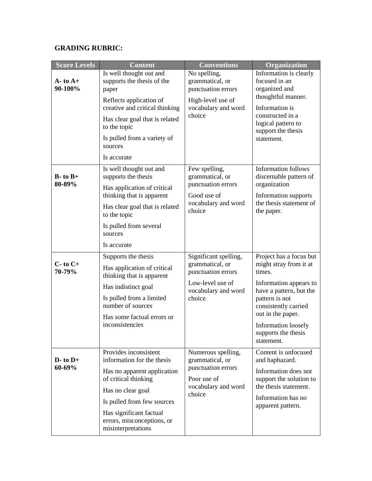## **GRADING RUBRIC:**

| <b>Score Levels</b>      | <b>Content</b>                                                                                                                                                                                                                               | <b>Conventions</b>                                                                                                  | Organization                                                                                                                                                                                                                                |
|--------------------------|----------------------------------------------------------------------------------------------------------------------------------------------------------------------------------------------------------------------------------------------|---------------------------------------------------------------------------------------------------------------------|---------------------------------------------------------------------------------------------------------------------------------------------------------------------------------------------------------------------------------------------|
| $A - t0 A +$<br>90-100%  | Is well thought out and<br>supports the thesis of the<br>paper<br>Reflects application of<br>creative and critical thinking<br>Has clear goal that is related<br>to the topic<br>Is pulled from a variety of<br>sources<br>Is accurate       | No spelling,<br>grammatical, or<br>punctuation errors<br>High-level use of<br>vocabulary and word<br>choice         | Information is clearly<br>focused in an<br>organized and<br>thoughtful manner.<br>Information is<br>constructed in a<br>logical pattern to<br>support the thesis<br>statement.                                                              |
| $B$ - to $B$ +<br>80-89% | Is well thought out and<br>supports the thesis<br>Has application of critical<br>thinking that is apparent<br>Has clear goal that is related<br>to the topic<br>Is pulled from several<br>sources<br>Is accurate                             | Few spelling,<br>grammatical, or<br>punctuation errors<br>Good use of<br>vocabulary and word<br>choice              | <b>Information follows</b><br>discernable pattern of<br>organization<br>Information supports<br>the thesis statement of<br>the paper.                                                                                                       |
| $C$ - to $C$ +<br>70-79% | Supports the thesis<br>Has application of critical<br>thinking that is apparent<br>Has indistinct goal<br>Is pulled from a limited<br>number of sources<br>Has some factual errors or<br>inconsistencies                                     | Significant spelling,<br>grammatical, or<br>punctuation errors<br>Low-level use of<br>vocabulary and word<br>choice | Project has a focus but<br>might stray from it at<br>times.<br>Information appears to<br>have a pattern, but the<br>pattern is not<br>consistently carried<br>out in the paper.<br>Information loosely<br>supports the thesis<br>statement. |
| $D$ - to $D$ +<br>60-69% | Provides inconsistent<br>information for the thesis<br>Has no apparent application<br>of critical thinking<br>Has no clear goal<br>Is pulled from few sources<br>Has significant factual<br>errors, misconceptions, or<br>misinterpretations | Numerous spelling,<br>grammatical, or<br>punctuation errors<br>Poor use of<br>vocabulary and word<br>choice         | Content is unfocused<br>and haphazard.<br>Information does not<br>support the solution to<br>the thesis statement.<br>Information has no<br>apparent pattern.                                                                               |